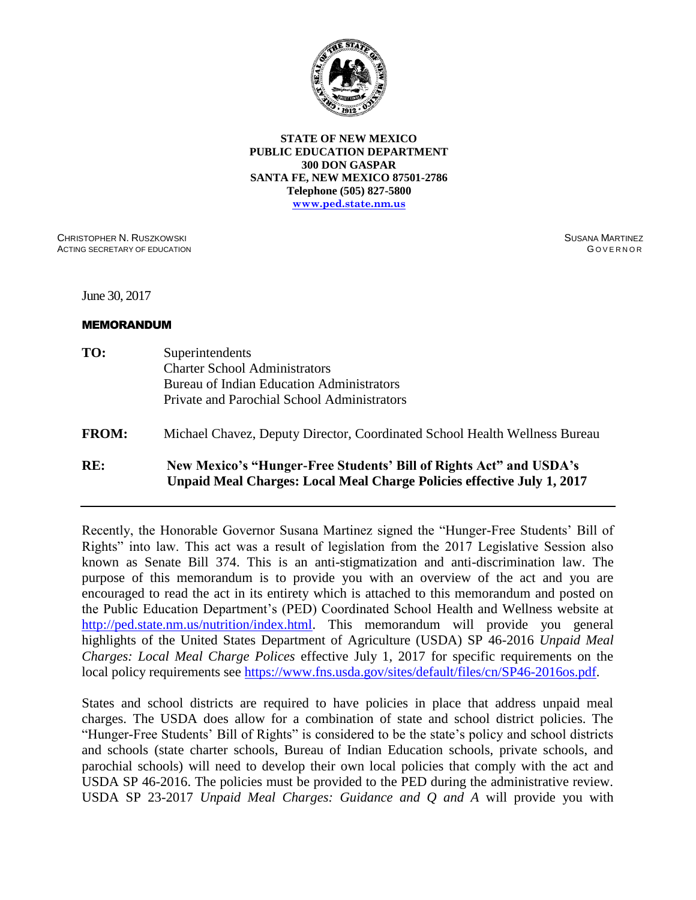

**STATE OF NEW MEXICO PUBLIC EDUCATION DEPARTMENT 300 DON GASPAR SANTA FE, NEW MEXICO 87501-2786 Telephone (505) 827-5800 [www.ped.state.nm.us](http://www.sde.state.nm.us/)**

CHRISTOPHER N. RUSZKOWSKI ACTING SECRETARY OF EDUCATION SUSANA MARTINEZ **GOVERNOR** 

June 30, 2017

#### MEMORANDUM

- **TO:** Superintendents Charter School Administrators Bureau of Indian Education Administrators Private and Parochial School Administrators
- **FROM:** Michael Chavez, Deputy Director, Coordinated School Health Wellness Bureau

# **RE: New Mexico's "Hunger-Free Students' Bill of Rights Act" and USDA's Unpaid Meal Charges: Local Meal Charge Policies effective July 1, 2017**

Recently, the Honorable Governor Susana Martinez signed the "Hunger-Free Students' Bill of Rights" into law. This act was a result of legislation from the 2017 Legislative Session also known as Senate Bill 374. This is an anti-stigmatization and anti-discrimination law. The purpose of this memorandum is to provide you with an overview of the act and you are encouraged to read the act in its entirety which is attached to this memorandum and posted on the Public Education Department's (PED) Coordinated School Health and Wellness website at [http://ped.state.nm.us/nutrition/index.html.](http://ped.state.nm.us/nutrition/index.html) This memorandum will provide you general highlights of the United States Department of Agriculture (USDA) SP 46-2016 *Unpaid Meal Charges: Local Meal Charge Polices* effective July 1, 2017 for specific requirements on the local policy requirements see [https://www.fns.usda.gov/sites/default/files/cn/SP46-2016os.pdf.](https://www.fns.usda.gov/sites/default/files/cn/SP46-2016os.pdf)

States and school districts are required to have policies in place that address unpaid meal charges. The USDA does allow for a combination of state and school district policies. The "Hunger-Free Students' Bill of Rights" is considered to be the state's policy and school districts and schools (state charter schools, Bureau of Indian Education schools, private schools, and parochial schools) will need to develop their own local policies that comply with the act and USDA SP 46-2016. The policies must be provided to the PED during the administrative review. USDA SP 23-2017 *Unpaid Meal Charges: Guidance and Q and A* will provide you with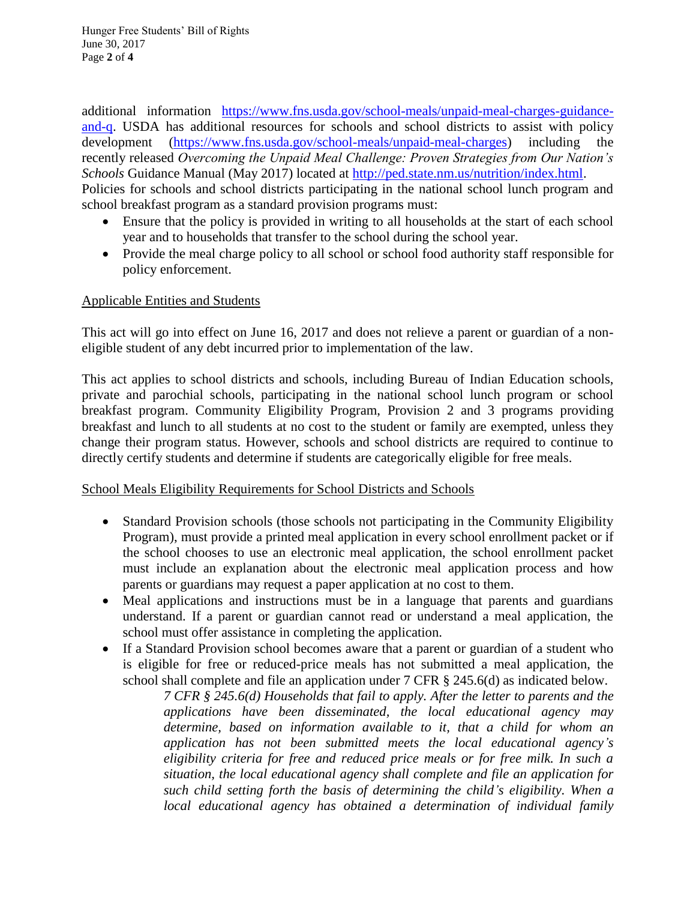Hunger Free Students' Bill of Rights June 30, 2017 Page **2** of **4**

additional information [https://www.fns.usda.gov/school-meals/unpaid-meal-charges-guidance](https://www.fns.usda.gov/school-meals/unpaid-meal-charges-guidance-and-q)[and-q.](https://www.fns.usda.gov/school-meals/unpaid-meal-charges-guidance-and-q) USDA has additional resources for schools and school districts to assist with policy development [\(https://www.fns.usda.gov/school-meals/unpaid-meal-charges\)](https://www.fns.usda.gov/school-meals/unpaid-meal-charges) including the recently released *Overcoming the Unpaid Meal Challenge: Proven Strategies from Our Nation's Schools* Guidance Manual (May 2017) located at [http://ped.state.nm.us/nutrition/index.html.](http://ped.state.nm.us/nutrition/index.html) Policies for schools and school districts participating in the national school lunch program and school breakfast program as a standard provision programs must:

- Ensure that the policy is provided in writing to all households at the start of each school year and to households that transfer to the school during the school year.
- Provide the meal charge policy to all school or school food authority staff responsible for policy enforcement.

## Applicable Entities and Students

This act will go into effect on June 16, 2017 and does not relieve a parent or guardian of a noneligible student of any debt incurred prior to implementation of the law.

This act applies to school districts and schools, including Bureau of Indian Education schools, private and parochial schools, participating in the national school lunch program or school breakfast program. Community Eligibility Program, Provision 2 and 3 programs providing breakfast and lunch to all students at no cost to the student or family are exempted, unless they change their program status. However, schools and school districts are required to continue to directly certify students and determine if students are categorically eligible for free meals.

## School Meals Eligibility Requirements for School Districts and Schools

- Standard Provision schools (those schools not participating in the Community Eligibility Program), must provide a printed meal application in every school enrollment packet or if the school chooses to use an electronic meal application, the school enrollment packet must include an explanation about the electronic meal application process and how parents or guardians may request a paper application at no cost to them.
- Meal applications and instructions must be in a language that parents and guardians understand. If a parent or guardian cannot read or understand a meal application, the school must offer assistance in completing the application.
- If a Standard Provision school becomes aware that a parent or guardian of a student who is eligible for free or reduced-price meals has not submitted a meal application, the school shall complete and file an application under 7 CFR § 245.6(d) as indicated below.

*7 CFR § 245.6(d) Households that fail to apply. After the letter to parents and the applications have been disseminated, the local educational agency may determine, based on information available to it, that a child for whom an application has not been submitted meets the local educational agency's eligibility criteria for free and reduced price meals or for free milk. In such a situation, the local educational agency shall complete and file an application for such child setting forth the basis of determining the child's eligibility. When a local educational agency has obtained a determination of individual family*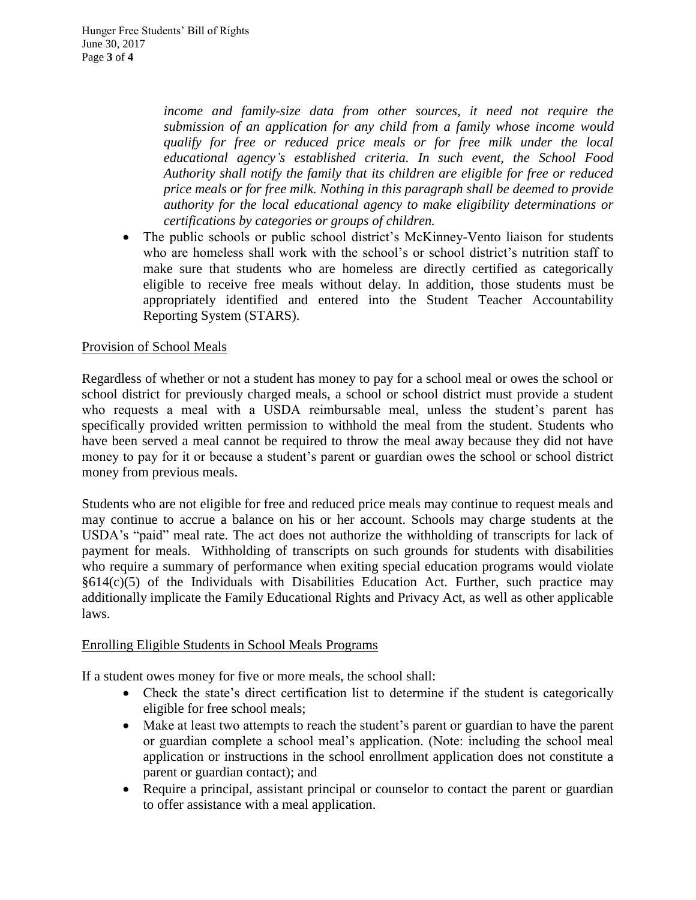*income and family-size data from other sources, it need not require the submission of an application for any child from a family whose income would qualify for free or reduced price meals or for free milk under the local educational agency's established criteria. In such event, the School Food Authority shall notify the family that its children are eligible for free or reduced price meals or for free milk. Nothing in this paragraph shall be deemed to provide authority for the local educational agency to make eligibility determinations or certifications by categories or groups of children.*

• The public schools or public school district's McKinney-Vento liaison for students who are homeless shall work with the school's or school district's nutrition staff to make sure that students who are homeless are directly certified as categorically eligible to receive free meals without delay. In addition, those students must be appropriately identified and entered into the Student Teacher Accountability Reporting System (STARS).

# Provision of School Meals

Regardless of whether or not a student has money to pay for a school meal or owes the school or school district for previously charged meals, a school or school district must provide a student who requests a meal with a USDA reimbursable meal, unless the student's parent has specifically provided written permission to withhold the meal from the student. Students who have been served a meal cannot be required to throw the meal away because they did not have money to pay for it or because a student's parent or guardian owes the school or school district money from previous meals.

Students who are not eligible for free and reduced price meals may continue to request meals and may continue to accrue a balance on his or her account. Schools may charge students at the USDA's "paid" meal rate. The act does not authorize the withholding of transcripts for lack of payment for meals. Withholding of transcripts on such grounds for students with disabilities who require a summary of performance when exiting special education programs would violate §614(c)(5) of the Individuals with Disabilities Education Act. Further, such practice may additionally implicate the Family Educational Rights and Privacy Act, as well as other applicable laws.

## Enrolling Eligible Students in School Meals Programs

If a student owes money for five or more meals, the school shall:

- Check the state's direct certification list to determine if the student is categorically eligible for free school meals;
- Make at least two attempts to reach the student's parent or guardian to have the parent or guardian complete a school meal's application. (Note: including the school meal application or instructions in the school enrollment application does not constitute a parent or guardian contact); and
- Require a principal, assistant principal or counselor to contact the parent or guardian to offer assistance with a meal application.